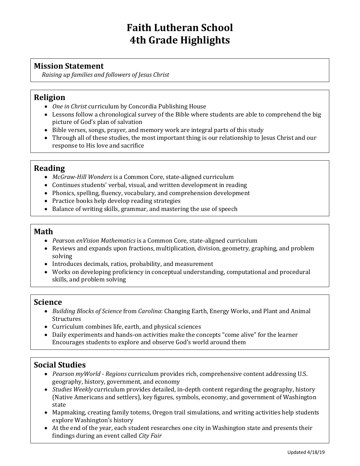# **Faith Lutheran School 4th Grade Highlights**

## **Mission Statement**

*Raising up families and followers of Jesus Christ*

#### **Religion**

- *One in Christ* curriculum by Concordia Publishing House
- Lessons follow a chronological survey of the Bible where students are able to comprehend the big picture of God's plan of salvation
- Bible verses, songs, prayer, and memory work are integral parts of this study
- Through all of these studies, the most important thing is our relationship to Jesus Christ and our response to His love and sacrifice

## **Reading**

- *McGraw-Hill Wonders* is a Common Core, state-aligned curriculum
- Continues students' verbal, visual, and written development in reading
- Phonics, spelling, fluency, vocabulary, and comprehension development
- Practice books help develop reading strategies
- Balance of writing skills, grammar, and mastering the use of speech

#### **Math**

- *Pea*rson *enVision Mathematics* is a Common Core, state-aligned curriculum
- Reviews and expands upon fractions, multiplication, division, geometry, graphing, and problem solving
- Introduces decimals, ratios, probability, and measurement
- Works on developing proficiency in conceptual understanding, computational and procedural skills, and problem solving

#### **Science**

- *Building Blocks of Science* from *Carolina*: Changing Earth, Energy Works, and Plant and Animal Structures
- Curriculum combines life, earth, and physical sciences
- Daily experiments and hands-on activities make the concepts "come alive" for the learner Encourages students to explore and observe God's world around them

## **Social Studies**

- *Pearson myWorld - Regions* curriculum provides rich, comprehensive content addressing U.S. geography, history, government, and economy
- *Studies Weekly* curriculum provides detailed, in-depth content regarding the geography, history (Native Americans and settlers), key figures, symbols, economy, and government of Washington state
- Mapmaking, creating family totems, Oregon trail simulations, and writing activities help students explore Washington's history
- At the end of the year, each student researches one city in Washington state and presents their findings during an event called *City Fair*